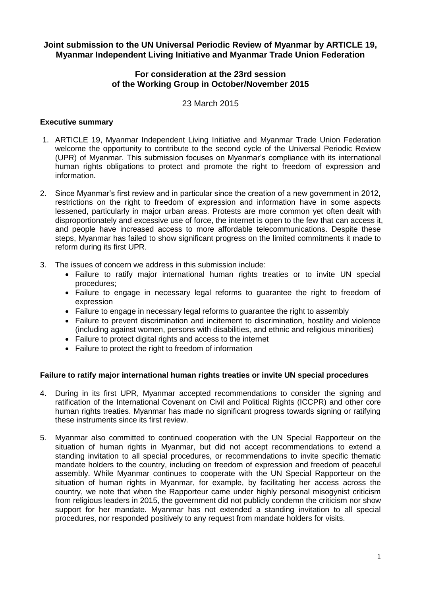# **Joint submission to the UN Universal Periodic Review of Myanmar by ARTICLE 19, Myanmar Independent Living Initiative and Myanmar Trade Union Federation**

# **For consideration at the 23rd session of the Working Group in October/November 2015**

23 March 2015

# **Executive summary**

- 1. ARTICLE 19, Myanmar Independent Living Initiative and Myanmar Trade Union Federation welcome the opportunity to contribute to the second cycle of the Universal Periodic Review (UPR) of Myanmar. This submission focuses on Myanmar's compliance with its international human rights obligations to protect and promote the right to freedom of expression and information.
- 2. Since Myanmar's first review and in particular since the creation of a new government in 2012, restrictions on the right to freedom of expression and information have in some aspects lessened, particularly in major urban areas. Protests are more common yet often dealt with disproportionately and excessive use of force, the internet is open to the few that can access it, and people have increased access to more affordable telecommunications. Despite these steps, Myanmar has failed to show significant progress on the limited commitments it made to reform during its first UPR.
- 3. The issues of concern we address in this submission include:
	- Failure to ratify major international human rights treaties or to invite UN special procedures;
	- Failure to engage in necessary legal reforms to guarantee the right to freedom of expression
	- Failure to engage in necessary legal reforms to guarantee the right to assembly
	- Failure to prevent discrimination and incitement to discrimination, hostility and violence (including against women, persons with disabilities, and ethnic and religious minorities)
	- Failure to protect digital rights and access to the internet
	- Failure to protect the right to freedom of information

#### **Failure to ratify major international human rights treaties or invite UN special procedures**

- 4. During in its first UPR, Myanmar accepted recommendations to consider the signing and ratification of the International Covenant on Civil and Political Rights (ICCPR) and other core human rights treaties. Myanmar has made no significant progress towards signing or ratifying these instruments since its first review.
- 5. Myanmar also committed to continued cooperation with the UN Special Rapporteur on the situation of human rights in Myanmar, but did not accept recommendations to extend a standing invitation to all special procedures, or recommendations to invite specific thematic mandate holders to the country, including on freedom of expression and freedom of peaceful assembly. While Myanmar continues to cooperate with the UN Special Rapporteur on the situation of human rights in Myanmar, for example, by facilitating her access across the country, we note that when the Rapporteur came under highly personal misogynist criticism from religious leaders in 2015, the government did not publicly condemn the criticism nor show support for her mandate. Myanmar has not extended a standing invitation to all special procedures, nor responded positively to any request from mandate holders for visits.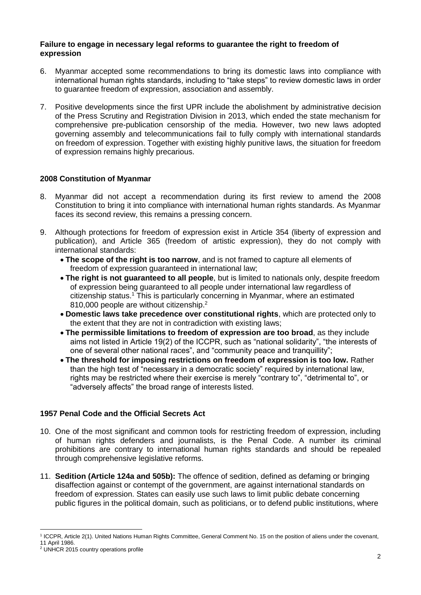#### **Failure to engage in necessary legal reforms to guarantee the right to freedom of expression**

- 6. Myanmar accepted some recommendations to bring its domestic laws into compliance with international human rights standards, including to "take steps" to review domestic laws in order to guarantee freedom of expression, association and assembly.
- 7. Positive developments since the first UPR include the abolishment by administrative decision of the Press Scrutiny and Registration Division in 2013, which ended the state mechanism for comprehensive pre-publication censorship of the media. However, two new laws adopted governing assembly and telecommunications fail to fully comply with international standards on freedom of expression. Together with existing highly punitive laws, the situation for freedom of expression remains highly precarious.

### **2008 Constitution of Myanmar**

- 8. Myanmar did not accept a recommendation during its first review to amend the 2008 Constitution to bring it into compliance with international human rights standards. As Myanmar faces its second review, this remains a pressing concern.
- 9. Although protections for freedom of expression exist in Article 354 (liberty of expression and publication), and Article 365 (freedom of artistic expression), they do not comply with international standards:
	- **The scope of the right is too narrow**, and is not framed to capture all elements of freedom of expression guaranteed in international law;
	- **The right is not guaranteed to all people**, but is limited to nationals only, despite freedom of expression being guaranteed to all people under international law regardless of citizenship status.<sup>1</sup> This is particularly concerning in Myanmar, where an estimated 810,000 people are without citizenship.<sup>2</sup>
	- **Domestic laws take precedence over constitutional rights**, which are protected only to the extent that they are not in contradiction with existing laws;
	- **The permissible limitations to freedom of expression are too broad**, as they include aims not listed in Article 19(2) of the ICCPR, such as "national solidarity", "the interests of one of several other national races", and "community peace and tranquillity";
	- **The threshold for imposing restrictions on freedom of expression is too low.** Rather than the high test of "necessary in a democratic society" required by international law, rights may be restricted where their exercise is merely "contrary to", "detrimental to", or "adversely affects" the broad range of interests listed.

#### **1957 Penal Code and the Official Secrets Act**

- 10. One of the most significant and common tools for restricting freedom of expression, including of human rights defenders and journalists, is the Penal Code. A number its criminal prohibitions are contrary to international human rights standards and should be repealed through comprehensive legislative reforms.
- 11. **Sedition (Article 124a and 505b):** The offence of sedition, defined as defaming or bringing disaffection against or contempt of the government, are against international standards on freedom of expression. States can easily use such laws to limit public debate concerning public figures in the political domain, such as politicians, or to defend public institutions, where

 1 ICCPR, Article 2(1). United Nations Human Rights Committee, General Comment No. 15 on the position of aliens under the covenant, 11 April 1986.

<sup>2</sup> UNHCR 2015 country operations profile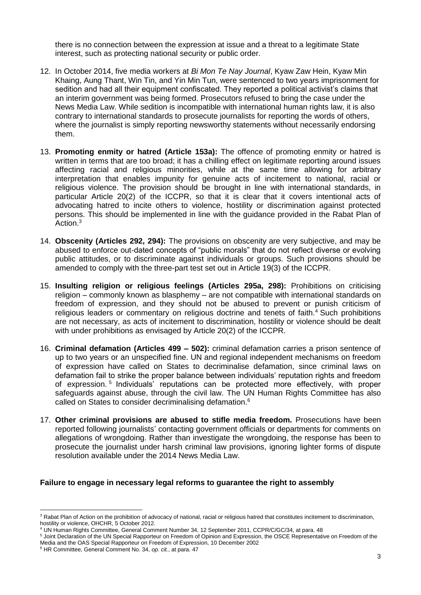there is no connection between the expression at issue and a threat to a legitimate State interest, such as protecting national security or public order.

- 12. In October 2014, five media workers at *Bi Mon Te Nay Journal*, Kyaw Zaw Hein, Kyaw Min Khaing, Aung Thant, Win Tin, and Yin Min Tun, were sentenced to two years imprisonment for sedition and had all their equipment confiscated. They reported a political activist's claims that an interim government was being formed. Prosecutors refused to bring the case under the News Media Law. While sedition is incompatible with international human rights law, it is also contrary to international standards to prosecute journalists for reporting the words of others, where the journalist is simply reporting newsworthy statements without necessarily endorsing them.
- 13. **Promoting enmity or hatred (Article 153a):** The offence of promoting enmity or hatred is written in terms that are too broad; it has a chilling effect on legitimate reporting around issues affecting racial and religious minorities, while at the same time allowing for arbitrary interpretation that enables impunity for genuine acts of incitement to national, racial or religious violence. The provision should be brought in line with international standards, in particular Article 20(2) of the ICCPR, so that it is clear that it covers intentional acts of advocating hatred to incite others to violence, hostility or discrimination against protected persons. This should be implemented in line with the guidance provided in the Rabat Plan of Action.<sup>3</sup>
- 14. **Obscenity (Articles 292, 294):** The provisions on obscenity are very subjective, and may be abused to enforce out-dated concepts of "public morals" that do not reflect diverse or evolving public attitudes, or to discriminate against individuals or groups. Such provisions should be amended to comply with the three-part test set out in Article 19(3) of the ICCPR.
- 15. **Insulting religion or religious feelings (Articles 295a, 298):** Prohibitions on criticising religion – commonly known as blasphemy – are not compatible with international standards on freedom of expression, and they should not be abused to prevent or punish criticism of religious leaders or commentary on religious doctrine and tenets of faith. $4$  Such prohibitions are not necessary, as acts of incitement to discrimination, hostility or violence should be dealt with under prohibitions as envisaged by Article 20(2) of the ICCPR.
- 16. **Criminal defamation (Articles 499 – 502):** criminal defamation carries a prison sentence of up to two years or an unspecified fine. UN and regional independent mechanisms on freedom of expression have called on States to decriminalise defamation, since criminal laws on defamation fail to strike the proper balance between individuals' reputation rights and freedom of expression.<sup>5</sup> Individuals' reputations can be protected more effectively, with proper safeguards against abuse, through the civil law. The UN Human Rights Committee has also called on States to consider decriminalising defamation.<sup>6</sup>
- 17. **Other criminal provisions are abused to stifle media freedom.** Prosecutions have been reported following journalists' contacting government officials or departments for comments on allegations of wrongdoing. Rather than investigate the wrongdoing, the response has been to prosecute the journalist under harsh criminal law provisions, ignoring lighter forms of dispute resolution available under the 2014 News Media Law.

#### **Failure to engage in necessary legal reforms to guarantee the right to assembly**

 $\overline{a}$ <sup>3</sup> Rabat Plan of Action on the prohibition of advocacy of national, racial or religious hatred that constitutes incitement to discrimination, hostility or violence, OHCHR, 5 October 2012.

<sup>4</sup> UN Human Rights Committee, General Comment Number 34, 12 September 2011, CCPR/C/GC/34, at para. 48

<sup>5</sup> Joint Declaration of the UN Special Rapporteur on Freedom of Opinion and Expression, the OSCE Representative on Freedom of the Media and the OAS Special Rapporteur on Freedom of Expression, 10 December 2002

<sup>6</sup> HR Committee, General Comment No. 34, *op. cit.*, at para. 47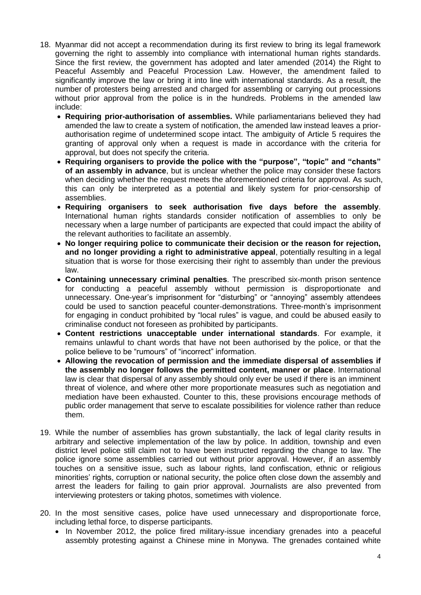- 18. Myanmar did not accept a recommendation during its first review to bring its legal framework governing the right to assembly into compliance with international human rights standards. Since the first review, the government has adopted and later amended (2014) the Right to Peaceful Assembly and Peaceful Procession Law. However, the amendment failed to significantly improve the law or bring it into line with international standards. As a result, the number of protesters being arrested and charged for assembling or carrying out processions without prior approval from the police is in the hundreds. Problems in the amended law include:
	- **Requiring prior-authorisation of assemblies.** While parliamentarians believed they had amended the law to create a system of notification, the amended law instead leaves a priorauthorisation regime of undetermined scope intact. The ambiguity of Article 5 requires the granting of approval only when a request is made in accordance with the criteria for approval, but does not specify the criteria.
	- **Requiring organisers to provide the police with the "purpose", "topic" and "chants" of an assembly in advance**, but is unclear whether the police may consider these factors when deciding whether the request meets the aforementioned criteria for approval. As such, this can only be interpreted as a potential and likely system for prior-censorship of assemblies.
	- **Requiring organisers to seek authorisation five days before the assembly**. International human rights standards consider notification of assemblies to only be necessary when a large number of participants are expected that could impact the ability of the relevant authorities to facilitate an assembly.
	- **No longer requiring police to communicate their decision or the reason for rejection, and no longer providing a right to administrative appeal**, potentially resulting in a legal situation that is worse for those exercising their right to assembly than under the previous law.
	- **Containing unnecessary criminal penalties**. The prescribed six-month prison sentence for conducting a peaceful assembly without permission is disproportionate and unnecessary. One-year's imprisonment for "disturbing" or "annoying" assembly attendees could be used to sanction peaceful counter-demonstrations. Three-month's imprisonment for engaging in conduct prohibited by "local rules" is vague, and could be abused easily to criminalise conduct not foreseen as prohibited by participants.
	- **Content restrictions unacceptable under international standards**. For example, it remains unlawful to chant words that have not been authorised by the police, or that the police believe to be "rumours" of "incorrect" information.
	- **Allowing the revocation of permission and the immediate dispersal of assemblies if the assembly no longer follows the permitted content, manner or place**. International law is clear that dispersal of any assembly should only ever be used if there is an imminent threat of violence, and where other more proportionate measures such as negotiation and mediation have been exhausted. Counter to this, these provisions encourage methods of public order management that serve to escalate possibilities for violence rather than reduce them.
- 19. While the number of assemblies has grown substantially, the lack of legal clarity results in arbitrary and selective implementation of the law by police. In addition, township and even district level police still claim not to have been instructed regarding the change to law. The police ignore some assemblies carried out without prior approval. However, if an assembly touches on a sensitive issue, such as labour rights, land confiscation, ethnic or religious minorities' rights, corruption or national security, the police often close down the assembly and arrest the leaders for failing to gain prior approval. Journalists are also prevented from interviewing protesters or taking photos, sometimes with violence.
- 20. In the most sensitive cases, police have used unnecessary and disproportionate force, including lethal force, to disperse participants.
	- In November 2012, the police fired military-issue incendiary grenades into a peaceful assembly protesting against a Chinese mine in Monywa. The grenades contained white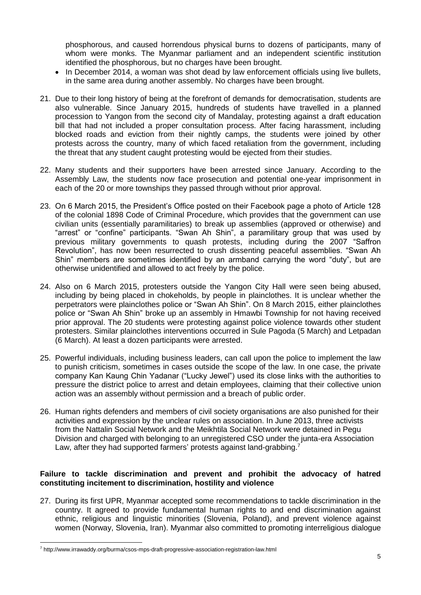phosphorous, and caused horrendous physical burns to dozens of participants, many of whom were monks. The Myanmar parliament and an independent scientific institution identified the phosphorous, but no charges have been brought.

- In December 2014, a woman was shot dead by law enforcement officials using live bullets, in the same area during another assembly. No charges have been brought.
- 21. Due to their long history of being at the forefront of demands for democratisation, students are also vulnerable. Since January 2015, hundreds of students have travelled in a planned procession to Yangon from the second city of Mandalay, protesting against a draft education bill that had not included a proper consultation process. After facing harassment, including blocked roads and eviction from their nightly camps, the students were joined by other protests across the country, many of which faced retaliation from the government, including the threat that any student caught protesting would be ejected from their studies.
- 22. Many students and their supporters have been arrested since January. According to the Assembly Law, the students now face prosecution and potential one-year imprisonment in each of the 20 or more townships they passed through without prior approval.
- 23. On 6 March 2015, the President's Office posted on their Facebook page a photo of Article 128 of the colonial 1898 Code of Criminal Procedure, which provides that the government can use civilian units (essentially paramilitaries) to break up assemblies (approved or otherwise) and "arrest" or "confine" participants. "Swan Ah Shin", a paramilitary group that was used by previous military governments to quash protests, including during the 2007 "Saffron Revolution", has now been resurrected to crush dissenting peaceful assemblies. "Swan Ah Shin" members are sometimes identified by an armband carrying the word "duty", but are otherwise unidentified and allowed to act freely by the police.
- 24. Also on 6 March 2015, protesters outside the Yangon City Hall were seen being abused, including by being placed in chokeholds, by people in plainclothes. It is unclear whether the perpetrators were plainclothes police or "Swan Ah Shin". On 8 March 2015, either plainclothes police or "Swan Ah Shin" broke up an assembly in Hmawbi Township for not having received prior approval. The 20 students were protesting against police violence towards other student protesters. Similar plainclothes interventions occurred in Sule Pagoda (5 March) and Letpadan (6 March). At least a dozen participants were arrested.
- 25. Powerful individuals, including business leaders, can call upon the police to implement the law to punish criticism, sometimes in cases outside the scope of the law. In one case, the private company Kan Kaung Chin Yadanar ("Lucky Jewel") used its close links with the authorities to pressure the district police to arrest and detain employees, claiming that their collective union action was an assembly without permission and a breach of public order.
- 26. Human rights defenders and members of civil society organisations are also punished for their activities and expression by the unclear rules on association. In June 2013, three activists from the Nattalin Social Network and the Meikhtila Social Network were detained in Pegu Division and charged with belonging to an unregistered CSO under the junta-era Association Law, after they had supported farmers' protests against land-grabbing.<sup>7</sup>

#### **Failure to tackle discrimination and prevent and prohibit the advocacy of hatred constituting incitement to discrimination, hostility and violence**

27. During its first UPR, Myanmar accepted some recommendations to tackle discrimination in the country. It agreed to provide fundamental human rights to and end discrimination against ethnic, religious and linguistic minorities (Slovenia, Poland), and prevent violence against women (Norway, Slovenia, Iran). Myanmar also committed to promoting interreligious dialogue

 $\overline{a}$ 

<sup>7</sup> http://www.irrawaddy.org/burma/csos-mps-draft-progressive-association-registration-law.html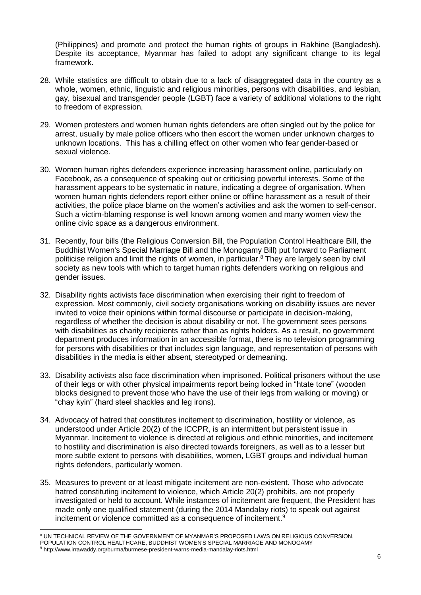(Philippines) and promote and protect the human rights of groups in Rakhine (Bangladesh). Despite its acceptance, Myanmar has failed to adopt any significant change to its legal framework.

- 28. While statistics are difficult to obtain due to a lack of disaggregated data in the country as a whole, women, ethnic, linguistic and religious minorities, persons with disabilities, and lesbian, gay, bisexual and transgender people (LGBT) face a variety of additional violations to the right to freedom of expression.
- 29. Women protesters and women human rights defenders are often singled out by the police for arrest, usually by male police officers who then escort the women under unknown charges to unknown locations. This has a chilling effect on other women who fear gender-based or sexual violence.
- 30. Women human rights defenders experience increasing harassment online, particularly on Facebook, as a consequence of speaking out or criticising powerful interests. Some of the harassment appears to be systematic in nature, indicating a degree of organisation. When women human rights defenders report either online or offline harassment as a result of their activities, the police place blame on the women's activities and ask the women to self-censor. Such a victim-blaming response is well known among women and many women view the online civic space as a dangerous environment.
- 31. Recently, four bills (the Religious Conversion Bill, the Population Control Healthcare Bill, the Buddhist Women's Special Marriage Bill and the Monogamy Bill) put forward to Parliament politicise religion and limit the rights of women, in particular. <sup>8</sup> They are largely seen by civil society as new tools with which to target human rights defenders working on religious and gender issues.
- 32. Disability rights activists face discrimination when exercising their right to freedom of expression. Most commonly, civil society organisations working on disability issues are never invited to voice their opinions within formal discourse or participate in decision-making, regardless of whether the decision is about disability or not. The government sees persons with disabilities as charity recipients rather than as rights holders. As a result, no government department produces information in an accessible format, there is no television programming for persons with disabilities or that includes sign language, and representation of persons with disabilities in the media is either absent, stereotyped or demeaning.
- 33. Disability activists also face discrimination when imprisoned. Political prisoners without the use of their legs or with other physical impairments report being locked in "htate tone" (wooden blocks designed to prevent those who have the use of their legs from walking or moving) or "chay kyin" (hard steel shackles and leg irons).
- 34. Advocacy of hatred that constitutes incitement to discrimination, hostility or violence, as understood under Article 20(2) of the ICCPR, is an intermittent but persistent issue in Myanmar. Incitement to violence is directed at religious and ethnic minorities, and incitement to hostility and discrimination is also directed towards foreigners, as well as to a lesser but more subtle extent to persons with disabilities, women, LGBT groups and individual human rights defenders, particularly women.
- 35. Measures to prevent or at least mitigate incitement are non-existent. Those who advocate hatred constituting incitement to violence, which Article 20(2) prohibits, are not properly investigated or held to account. While instances of incitement are frequent, the President has made only one qualified statement (during the 2014 Mandalay riots) to speak out against incitement or violence committed as a consequence of incitement.<sup>9</sup>

 $\overline{a}$ <sup>8</sup> UN TECHNICAL REVIEW OF THE GOVERNMENT OF MYANMAR'S PROPOSED LAWS ON RELIGIOUS CONVERSION,

POPULATION CONTROL HEALTHCARE, BUDDHIST WOMEN'S SPECIAL MARRIAGE AND MONOGAMY

<sup>9</sup> http://www.irrawaddy.org/burma/burmese-president-warns-media-mandalay-riots.html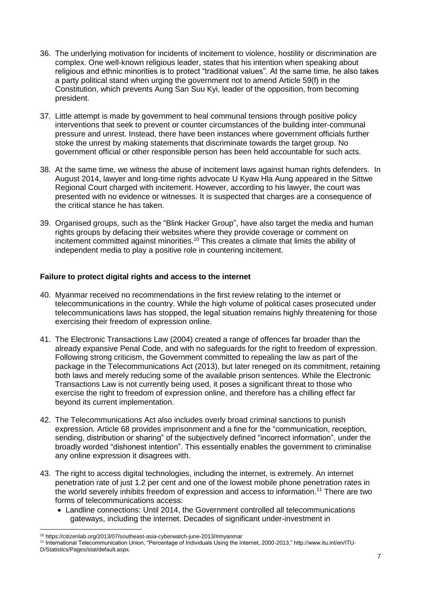- 36. The underlying motivation for incidents of incitement to violence, hostility or discrimination are complex. One well-known religious leader, states that his intention when speaking about religious and ethnic minorities is to protect "traditional values". At the same time, he also takes a party political stand when urging the government not to amend Article 59(f) in the Constitution, which prevents Aung San Suu Kyi, leader of the opposition, from becoming president.
- 37. Little attempt is made by government to heal communal tensions through positive policy interventions that seek to prevent or counter circumstances of the building inter-communal pressure and unrest. Instead, there have been instances where government officials further stoke the unrest by making statements that discriminate towards the target group. No government official or other responsible person has been held accountable for such acts.
- 38. At the same time, we witness the abuse of incitement laws against human rights defenders. In August 2014, lawyer and long-time rights advocate U Kyaw Hla Aung appeared in the Sittwe Regional Court charged with incitement. However, according to his lawyer, the court was presented with no evidence or witnesses. It is suspected that charges are a consequence of the critical stance he has taken.
- 39. Organised groups, such as the "Blink Hacker Group", have also target the media and human rights groups by defacing their websites where they provide coverage or comment on incitement committed against minorities.<sup>10</sup> This creates a climate that limits the ability of independent media to play a positive role in countering incitement.

### **Failure to protect digital rights and access to the internet**

- 40. Myanmar received no recommendations in the first review relating to the internet or telecommunications in the country. While the high volume of political cases prosecuted under telecommunications laws has stopped, the legal situation remains highly threatening for those exercising their freedom of expression online.
- 41. The Electronic Transactions Law (2004) created a range of offences far broader than the already expansive Penal Code, and with no safeguards for the right to freedom of expression. Following strong criticism, the Government committed to repealing the law as part of the package in the Telecommunications Act (2013), but later reneged on its commitment, retaining both laws and merely reducing some of the available prison sentences. While the Electronic Transactions Law is not currently being used, it poses a significant threat to those who exercise the right to freedom of expression online, and therefore has a chilling effect far beyond its current implementation.
- 42. The Telecommunications Act also includes overly broad criminal sanctions to punish expression. Article 68 provides imprisonment and a fine for the "communication, reception, sending, distribution or sharing" of the subjectively defined "incorrect information", under the broadly worded "dishonest intention". This essentially enables the government to criminalise any online expression it disagrees with.
- 43. The right to access digital technologies, including the internet, is extremely. An internet penetration rate of just 1.2 per cent and one of the lowest mobile phone penetration rates in the world severely inhibits freedom of expression and access to information.<sup>11</sup> There are two forms of telecommunications access:
	- Landline connections: Until 2014, the Government controlled all telecommunications gateways, including the internet. Decades of significant under-investment in

 $\overline{a}$ <sup>10</sup> https://citizenlab.org/2013/07/southeast-asia-cyberwatch-june-2013/#myanmar

<sup>11</sup> International Telecommunication Union, "Percentage of Individuals Using the Internet, 2000-2013," http://www.itu.int/en/ITU-D/Statistics/Pages/stat/default.aspx.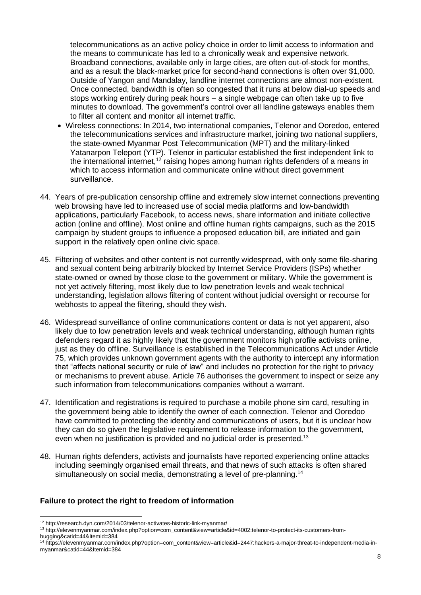telecommunications as an active policy choice in order to limit access to information and the means to communicate has led to a chronically weak and expensive network. Broadband connections, available only in large cities, are often out-of-stock for months, and as a result the black-market price for second-hand connections is often over \$1,000. Outside of Yangon and Mandalay, landline internet connections are almost non-existent. Once connected, bandwidth is often so congested that it runs at below dial-up speeds and stops working entirely during peak hours – a single webpage can often take up to five minutes to download. The government's control over all landline gateways enables them to filter all content and monitor all internet traffic.

- Wireless connections: In 2014, two international companies, Telenor and Ooredoo, entered the telecommunications services and infrastructure market, joining two national suppliers, the state-owned Myanmar Post Telecommunication (MPT) and the military-linked Yatanarpon Teleport (YTP). Telenor in particular established the first independent link to the international internet,<sup>12</sup> raising hopes among human rights defenders of a means in which to access information and communicate online without direct government surveillance.
- 44. Years of pre-publication censorship offline and extremely slow internet connections preventing web browsing have led to increased use of social media platforms and low-bandwidth applications, particularly Facebook, to access news, share information and initiate collective action (online and offline). Most online and offline human rights campaigns, such as the 2015 campaign by student groups to influence a proposed education bill, are initiated and gain support in the relatively open online civic space.
- 45. Filtering of websites and other content is not currently widespread, with only some file-sharing and sexual content being arbitrarily blocked by Internet Service Providers (ISPs) whether state-owned or owned by those close to the government or military. While the government is not yet actively filtering, most likely due to low penetration levels and weak technical understanding, legislation allows filtering of content without judicial oversight or recourse for webhosts to appeal the filtering, should they wish.
- 46. Widespread surveillance of online communications content or data is not yet apparent, also likely due to low penetration levels and weak technical understanding, although human rights defenders regard it as highly likely that the government monitors high profile activists online, just as they do offline. Surveillance is established in the Telecommunications Act under Article 75, which provides unknown government agents with the authority to intercept any information that "affects national security or rule of law" and includes no protection for the right to privacy or mechanisms to prevent abuse. Article 76 authorises the government to inspect or seize any such information from telecommunications companies without a warrant.
- 47. Identification and registrations is required to purchase a mobile phone sim card, resulting in the government being able to identify the owner of each connection. Telenor and Ooredoo have committed to protecting the identity and communications of users, but it is unclear how they can do so given the legislative requirement to release information to the government, even when no justification is provided and no judicial order is presented.<sup>13</sup>
- 48. Human rights defenders, activists and journalists have reported experiencing online attacks including seemingly organised email threats, and that news of such attacks is often shared simultaneously on social media, demonstrating a level of pre-planning.<sup>14</sup>

#### **Failure to protect the right to freedom of information**

 $\overline{a}$ <sup>12</sup> http://research.dyn.com/2014/03/telenor-activates-historic-link-myanmar/

<sup>13</sup> http://elevenmyanmar.com/index.php?option=com\_content&view=article&id=4002:telenor-to-protect-its-customers-frombugging&catid=44&Itemid=384

<sup>14</sup> https://elevenmyanmar.com/index.php?option=com\_content&view=article&id=2447:hackers-a-major-threat-to-independent-media-inmyanmar&catid=44&Itemid=384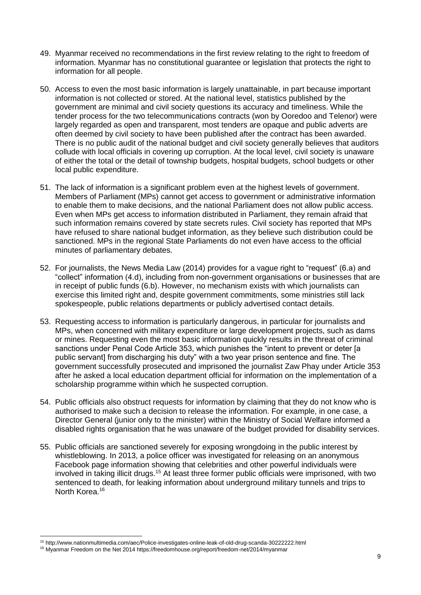- 49. Myanmar received no recommendations in the first review relating to the right to freedom of information. Myanmar has no constitutional guarantee or legislation that protects the right to information for all people.
- 50. Access to even the most basic information is largely unattainable, in part because important information is not collected or stored. At the national level, statistics published by the government are minimal and civil society questions its accuracy and timeliness. While the tender process for the two telecommunications contracts (won by Ooredoo and Telenor) were largely regarded as open and transparent, most tenders are opaque and public adverts are often deemed by civil society to have been published after the contract has been awarded. There is no public audit of the national budget and civil society generally believes that auditors collude with local officials in covering up corruption. At the local level, civil society is unaware of either the total or the detail of township budgets, hospital budgets, school budgets or other local public expenditure.
- 51. The lack of information is a significant problem even at the highest levels of government. Members of Parliament (MPs) cannot get access to government or administrative information to enable them to make decisions, and the national Parliament does not allow public access. Even when MPs get access to information distributed in Parliament, they remain afraid that such information remains covered by state secrets rules. Civil society has reported that MPs have refused to share national budget information, as they believe such distribution could be sanctioned. MPs in the regional State Parliaments do not even have access to the official minutes of parliamentary debates.
- 52. For journalists, the News Media Law (2014) provides for a vague right to "request" (6.a) and "collect" information (4.d), including from non-government organisations or businesses that are in receipt of public funds (6.b). However, no mechanism exists with which journalists can exercise this limited right and, despite government commitments, some ministries still lack spokespeople, public relations departments or publicly advertised contact details.
- 53. Requesting access to information is particularly dangerous, in particular for journalists and MPs, when concerned with military expenditure or large development projects, such as dams or mines. Requesting even the most basic information quickly results in the threat of criminal sanctions under Penal Code Article 353, which punishes the "intent to prevent or deter [a public servant] from discharging his duty" with a two year prison sentence and fine. The government successfully prosecuted and imprisoned the journalist Zaw Phay under Article 353 after he asked a local education department official for information on the implementation of a scholarship programme within which he suspected corruption.
- 54. Public officials also obstruct requests for information by claiming that they do not know who is authorised to make such a decision to release the information. For example, in one case, a Director General (junior only to the minister) within the Ministry of Social Welfare informed a disabled rights organisation that he was unaware of the budget provided for disability services.
- 55. Public officials are sanctioned severely for exposing wrongdoing in the public interest by whistleblowing. In 2013, a police officer was investigated for releasing on an anonymous Facebook page information showing that celebrities and other powerful individuals were involved in taking illicit drugs.<sup>15</sup> At least three former public officials were imprisoned, with two sentenced to death, for leaking information about underground military tunnels and trips to North Korea.<sup>16</sup>

 $\overline{a}$ 

<sup>15</sup> http://www.nationmultimedia.com/aec/Police-investigates-online-leak-of-old-drug-scanda-30222222.html

<sup>16</sup> Myanmar Freedom on the Net 2014 https://freedomhouse.org/report/freedom-net/2014/myanmar